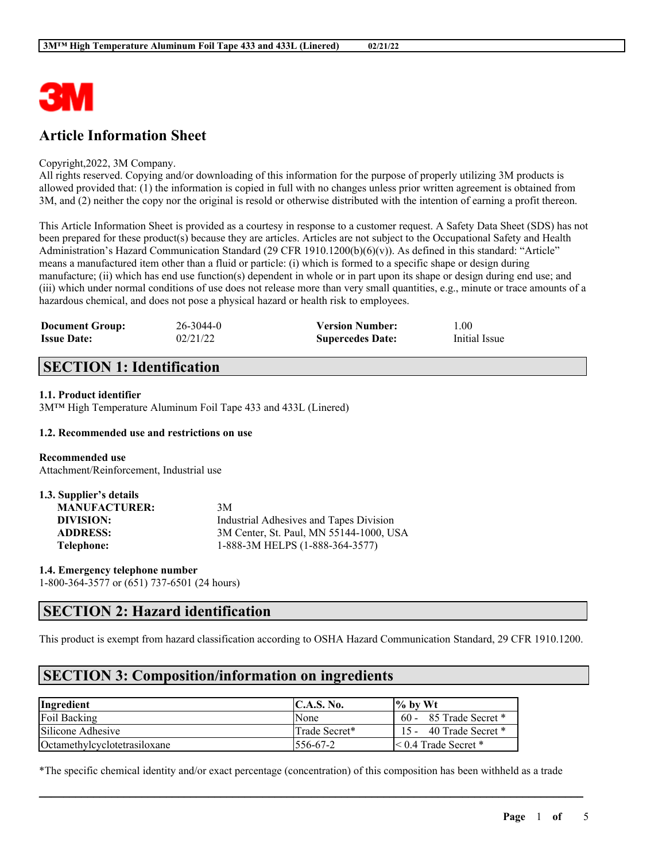

# **Article Information Sheet**

#### Copyright,2022, 3M Company.

All rights reserved. Copying and/or downloading of this information for the purpose of properly utilizing 3M products is allowed provided that: (1) the information is copied in full with no changes unless prior written agreement is obtained from 3M, and (2) neither the copy nor the original is resold or otherwise distributed with the intention of earning a profit thereon.

This Article Information Sheet is provided as a courtesy in response to a customer request. A Safety Data Sheet (SDS) has not been prepared for these product(s) because they are articles. Articles are not subject to the Occupational Safety and Health Administration's Hazard Communication Standard (29 CFR 1910.1200(b)(6)(v)). As defined in this standard: "Article" means a manufactured item other than a fluid or particle: (i) which is formed to a specific shape or design during manufacture; (ii) which has end use function(s) dependent in whole or in part upon its shape or design during end use; and (iii) which under normal conditions of use does not release more than very small quantities, e.g., minute or trace amounts of a hazardous chemical, and does not pose a physical hazard or health risk to employees.

| <b>Document Group:</b> | $26 - 3044 - 0$ | <b>Version Number:</b>  | 1.00          |
|------------------------|-----------------|-------------------------|---------------|
| <b>Issue Date:</b>     | 02/21/22        | <b>Supercedes Date:</b> | Initial Issue |

## **SECTION 1: Identification**

### **1.1. Product identifier**

3M™ High Temperature Aluminum Foil Tape 433 and 433L (Linered)

### **1.2. Recommended use and restrictions on use**

**Recommended use** Attachment/Reinforcement, Industrial use

| 1.3. Supplier's details |                                         |
|-------------------------|-----------------------------------------|
| <b>MANUFACTURER:</b>    | 3M                                      |
| DIVISION:               | Industrial Adhesives and Tapes Division |
| <b>ADDRESS:</b>         | 3M Center, St. Paul, MN 55144-1000, USA |
| Telephone:              | 1-888-3M HELPS (1-888-364-3577)         |

**1.4. Emergency telephone number** 1-800-364-3577 or (651) 737-6501 (24 hours)

## **SECTION 2: Hazard identification**

This product is exempt from hazard classification according to OSHA Hazard Communication Standard, 29 CFR 1910.1200.

# **SECTION 3: Composition/information on ingredients**

| Ingredient                   | C.A.S. No.     | $\frac{9}{6}$ by Wt         |
|------------------------------|----------------|-----------------------------|
| Foil Backing                 | <b>None</b>    | $60 - 85$ Trade Secret $*$  |
| Silicone Adhesive            | lTrade Secret* | 40 Trade Secret *<br>$15 -$ |
| Octamethylcyclotetrasiloxane | 1556-67-2      | $\leq 0.4$ Trade Secret *   |

\*The specific chemical identity and/or exact percentage (concentration) of this composition has been withheld as a trade

 $\mathcal{L}_\mathcal{L} = \mathcal{L}_\mathcal{L} = \mathcal{L}_\mathcal{L} = \mathcal{L}_\mathcal{L} = \mathcal{L}_\mathcal{L} = \mathcal{L}_\mathcal{L} = \mathcal{L}_\mathcal{L} = \mathcal{L}_\mathcal{L} = \mathcal{L}_\mathcal{L} = \mathcal{L}_\mathcal{L} = \mathcal{L}_\mathcal{L} = \mathcal{L}_\mathcal{L} = \mathcal{L}_\mathcal{L} = \mathcal{L}_\mathcal{L} = \mathcal{L}_\mathcal{L} = \mathcal{L}_\mathcal{L} = \mathcal{L}_\mathcal{L}$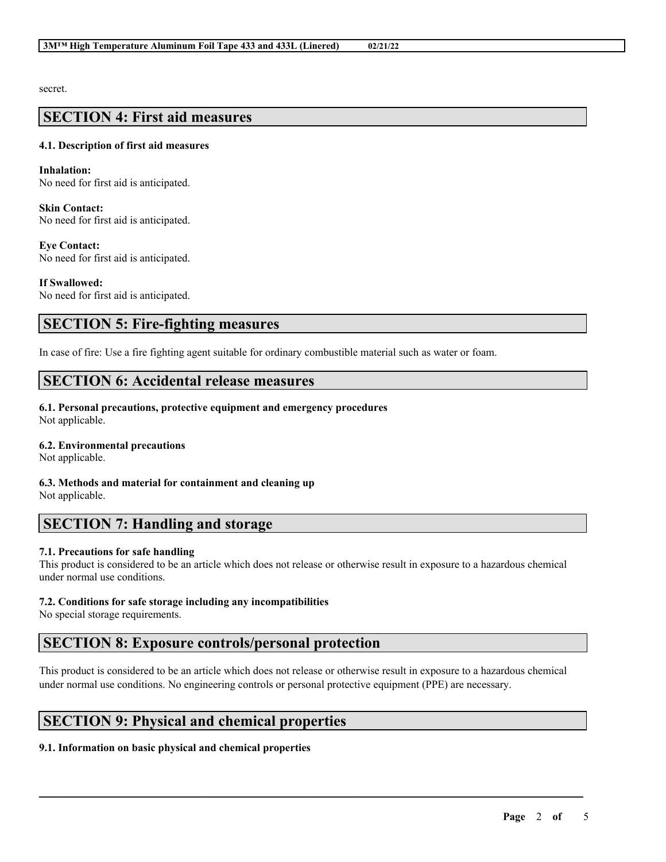secret.

### **SECTION 4: First aid measures**

### **4.1. Description of first aid measures**

**Inhalation:** No need for first aid is anticipated.

**Skin Contact:** No need for first aid is anticipated.

**Eye Contact:** No need for first aid is anticipated.

**If Swallowed:** No need for first aid is anticipated.

### **SECTION 5: Fire-fighting measures**

In case of fire: Use a fire fighting agent suitable for ordinary combustible material such as water or foam.

### **SECTION 6: Accidental release measures**

**6.1. Personal precautions, protective equipment and emergency procedures** Not applicable.

### **6.2. Environmental precautions**

Not applicable.

**6.3. Methods and material for containment and cleaning up** Not applicable.

## **SECTION 7: Handling and storage**

### **7.1. Precautions for safe handling**

This product is considered to be an article which does not release or otherwise result in exposure to a hazardous chemical under normal use conditions.

### **7.2. Conditions for safe storage including any incompatibilities**

No special storage requirements.

## **SECTION 8: Exposure controls/personal protection**

This product is considered to be an article which does not release or otherwise result in exposure to a hazardous chemical under normal use conditions. No engineering controls or personal protective equipment (PPE) are necessary.

 $\mathcal{L}_\mathcal{L} = \mathcal{L}_\mathcal{L} = \mathcal{L}_\mathcal{L} = \mathcal{L}_\mathcal{L} = \mathcal{L}_\mathcal{L} = \mathcal{L}_\mathcal{L} = \mathcal{L}_\mathcal{L} = \mathcal{L}_\mathcal{L} = \mathcal{L}_\mathcal{L} = \mathcal{L}_\mathcal{L} = \mathcal{L}_\mathcal{L} = \mathcal{L}_\mathcal{L} = \mathcal{L}_\mathcal{L} = \mathcal{L}_\mathcal{L} = \mathcal{L}_\mathcal{L} = \mathcal{L}_\mathcal{L} = \mathcal{L}_\mathcal{L}$ 

# **SECTION 9: Physical and chemical properties**

### **9.1. Information on basic physical and chemical properties**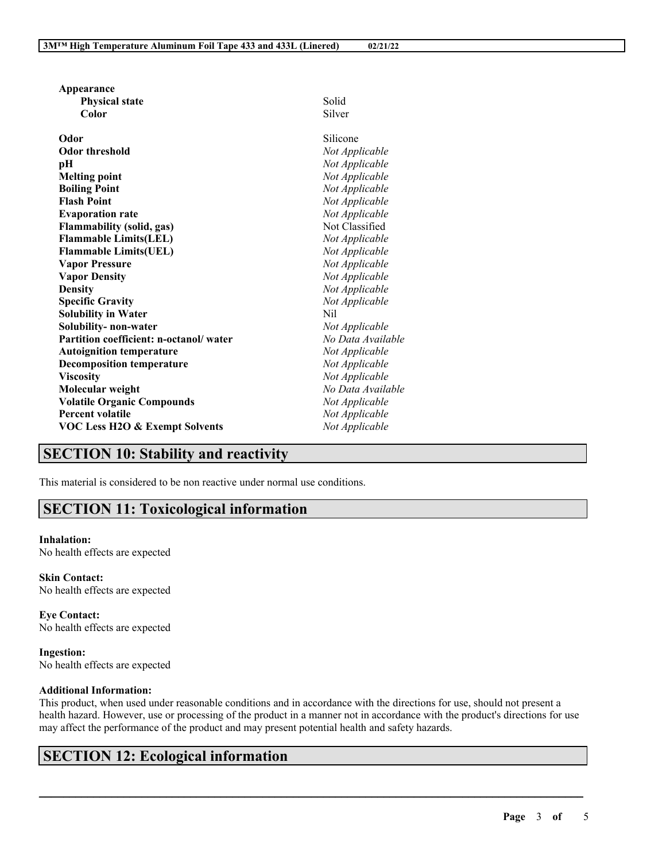| Appearance                                |                   |
|-------------------------------------------|-------------------|
| <b>Physical state</b>                     | Solid             |
| Color                                     | Silver            |
|                                           |                   |
| Odor                                      | Silicone          |
| <b>Odor threshold</b>                     | Not Applicable    |
| рH                                        | Not Applicable    |
| <b>Melting point</b>                      | Not Applicable    |
| <b>Boiling Point</b>                      | Not Applicable    |
| <b>Flash Point</b>                        | Not Applicable    |
| <b>Evaporation rate</b>                   | Not Applicable    |
| <b>Flammability (solid, gas)</b>          | Not Classified    |
| <b>Flammable Limits(LEL)</b>              | Not Applicable    |
| <b>Flammable Limits(UEL)</b>              | Not Applicable    |
| <b>Vapor Pressure</b>                     | Not Applicable    |
| <b>Vapor Density</b>                      | Not Applicable    |
| <b>Density</b>                            | Not Applicable    |
| <b>Specific Gravity</b>                   | Not Applicable    |
| <b>Solubility in Water</b>                | Nil               |
| Solubility- non-water                     | Not Applicable    |
| Partition coefficient: n-octanol/water    | No Data Available |
| <b>Autoignition temperature</b>           | Not Applicable    |
| <b>Decomposition temperature</b>          | Not Applicable    |
| <b>Viscosity</b>                          | Not Applicable    |
| Molecular weight                          | No Data Available |
| <b>Volatile Organic Compounds</b>         | Not Applicable    |
| <b>Percent volatile</b>                   | Not Applicable    |
| <b>VOC Less H2O &amp; Exempt Solvents</b> | Not Applicable    |
|                                           |                   |

## **SECTION 10: Stability and reactivity**

This material is considered to be non reactive under normal use conditions.

## **SECTION 11: Toxicological information**

### **Inhalation:**

No health effects are expected

**Skin Contact:** No health effects are expected

**Eye Contact:** No health effects are expected

**Ingestion:** No health effects are expected

### **Additional Information:**

This product, when used under reasonable conditions and in accordance with the directions for use, should not present a health hazard. However, use or processing of the product in a manner not in accordance with the product's directions for use may affect the performance of the product and may present potential health and safety hazards.

 $\mathcal{L}_\mathcal{L} = \mathcal{L}_\mathcal{L} = \mathcal{L}_\mathcal{L} = \mathcal{L}_\mathcal{L} = \mathcal{L}_\mathcal{L} = \mathcal{L}_\mathcal{L} = \mathcal{L}_\mathcal{L} = \mathcal{L}_\mathcal{L} = \mathcal{L}_\mathcal{L} = \mathcal{L}_\mathcal{L} = \mathcal{L}_\mathcal{L} = \mathcal{L}_\mathcal{L} = \mathcal{L}_\mathcal{L} = \mathcal{L}_\mathcal{L} = \mathcal{L}_\mathcal{L} = \mathcal{L}_\mathcal{L} = \mathcal{L}_\mathcal{L}$ 

# **SECTION 12: Ecological information**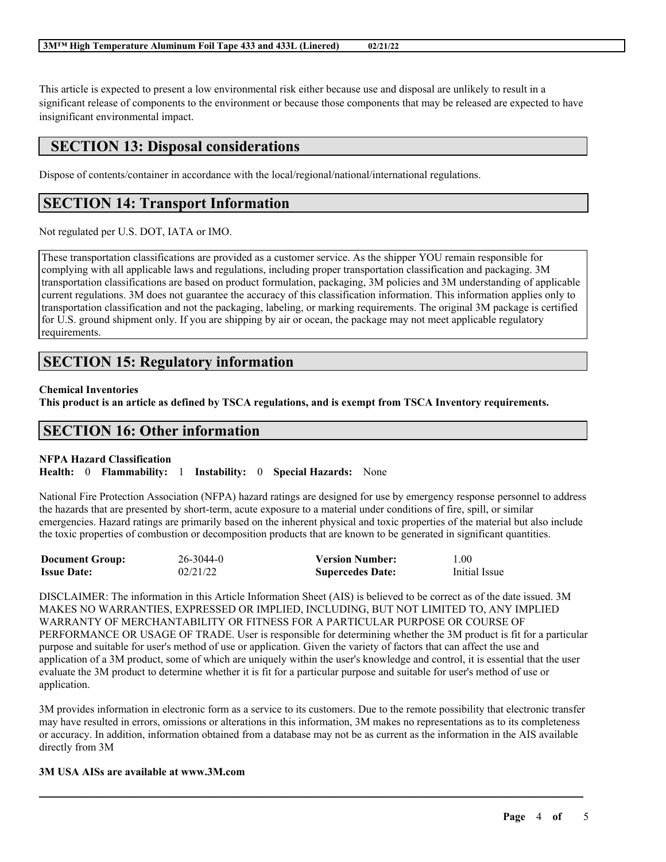This article is expected to present a low environmental risk either because use and disposal are unlikely to result in a significant release of components to the environment or because those components that may be released are expected to have insignificant environmental impact.

## **SECTION 13: Disposal considerations**

Dispose of contents/container in accordance with the local/regional/national/international regulations.

## **SECTION 14: Transport Information**

Not regulated per U.S. DOT, IATA or IMO.

These transportation classifications are provided as a customer service. As the shipper YOU remain responsible for complying with all applicable laws and regulations, including proper transportation classification and packaging. 3M transportation classifications are based on product formulation, packaging, 3M policies and 3M understanding of applicable current regulations. 3M does not guarantee the accuracy of this classification information. This information applies only to transportation classification and not the packaging, labeling, or marking requirements. The original 3M package is certified for U.S. ground shipment only. If you are shipping by air or ocean, the package may not meet applicable regulatory requirements.

## **SECTION 15: Regulatory information**

### **Chemical Inventories**

This product is an article as defined by TSCA regulations, and is exempt from TSCA Inventory requirements.

### **SECTION 16: Other information**

#### **NFPA Hazard Classification**

**Health:** 0 **Flammability:** 1 **Instability:** 0 **Special Hazards:** None

National Fire Protection Association (NFPA) hazard ratings are designed for use by emergency response personnel to address the hazards that are presented by short-term, acute exposure to a material under conditions of fire, spill, or similar emergencies. Hazard ratings are primarily based on the inherent physical and toxic properties of the material but also include the toxic properties of combustion or decomposition products that are known to be generated in significant quantities.

| <b>Document Group:</b> | 26-3044-0 | <b>Version Number:</b>  | 1.00          |
|------------------------|-----------|-------------------------|---------------|
| <b>Issue Date:</b>     | 02/21/22  | <b>Supercedes Date:</b> | Initial Issue |

DISCLAIMER: The information in this Article Information Sheet (AIS) is believed to be correct as of the date issued. 3M MAKES NO WARRANTIES, EXPRESSED OR IMPLIED, INCLUDING, BUT NOT LIMITED TO, ANY IMPLIED WARRANTY OF MERCHANTABILITY OR FITNESS FOR A PARTICULAR PURPOSE OR COURSE OF PERFORMANCE OR USAGE OF TRADE. User is responsible for determining whether the 3M product is fit for a particular purpose and suitable for user's method of use or application. Given the variety of factors that can affect the use and application of a 3M product, some of which are uniquely within the user's knowledge and control, it is essential that the user evaluate the 3M product to determine whether it is fit for a particular purpose and suitable for user's method of use or application.

3M provides information in electronic form as a service to its customers. Due to the remote possibility that electronic transfer may have resulted in errors, omissions or alterations in this information, 3M makes no representations as to its completeness or accuracy. In addition, information obtained from a database may not be as current as the information in the AIS available directly from 3M

 $\mathcal{L}_\mathcal{L} = \mathcal{L}_\mathcal{L} = \mathcal{L}_\mathcal{L} = \mathcal{L}_\mathcal{L} = \mathcal{L}_\mathcal{L} = \mathcal{L}_\mathcal{L} = \mathcal{L}_\mathcal{L} = \mathcal{L}_\mathcal{L} = \mathcal{L}_\mathcal{L} = \mathcal{L}_\mathcal{L} = \mathcal{L}_\mathcal{L} = \mathcal{L}_\mathcal{L} = \mathcal{L}_\mathcal{L} = \mathcal{L}_\mathcal{L} = \mathcal{L}_\mathcal{L} = \mathcal{L}_\mathcal{L} = \mathcal{L}_\mathcal{L}$ 

#### **3M USA AISs are available at www.3M.com**